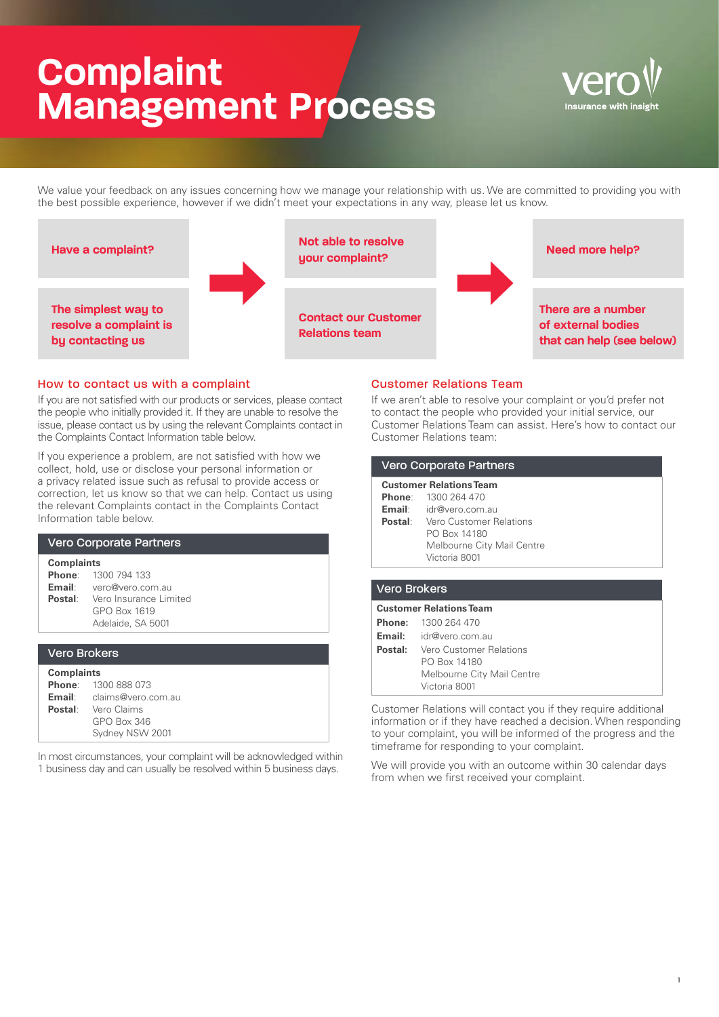# **Complaint Management Process**



We value your feedback on any issues concerning how we manage your relationship with us. We are committed to providing you with the best possible experience, however if we didn't meet your expectations in any way, please let us know.



## How to contact us with a complaint

If you are not satisfied with our products or services, please contact the people who initially provided it. If they are unable to resolve the issue, please contact us by using the relevant Complaints contact in the Complaints Contact Information table below.

If you experience a problem, are not satisfied with how we collect, hold, use or disclose your personal information or a privacy related issue such as refusal to provide access or correction, let us know so that we can help. Contact us using the relevant Complaints contact in the Complaints Contact Information table below.

| <b>Vero Corporate Partners</b>                  |                                                                                                                                            |  |
|-------------------------------------------------|--------------------------------------------------------------------------------------------------------------------------------------------|--|
| <b>Complaints</b>                               | <b>Phone:</b> 1300 794 133<br><b>Email:</b> vero@vero.com.au<br><b>Postal:</b> Vero Insurance Limited<br>GPO Box 1619<br>Adelaide, SA 5001 |  |
| <b>Vero Brokers</b>                             |                                                                                                                                            |  |
| <b>Complaints</b><br><b>Phone:</b> 1300 888 073 |                                                                                                                                            |  |

| <b>PRORE.</b> ISUU 666 U/S       |
|----------------------------------|
| <b>Email:</b> claims@vero.com.au |
| <b>Postal:</b> Vero Claims       |
| GPO Box 346                      |
| Sydney NSW 2001                  |
|                                  |

In most circumstances, your complaint will be acknowledged within 1 business day and can usually be resolved within 5 business days.

## Customer Relations Team

If we aren't able to resolve your complaint or you'd prefer not to contact the people who provided your initial service, our Customer Relations Team can assist. Here's how to contact our Customer Relations team:

| <b>Vero Corporate Partners</b> |                                        |  |
|--------------------------------|----------------------------------------|--|
| <b>Customer Relations Team</b> |                                        |  |
|                                | <b>Phone:</b> 1300 264 470             |  |
|                                | <b>Email:</b> idr@vero.com.au          |  |
|                                | <b>Postal:</b> Vero Customer Relations |  |
|                                | PO Box 14180                           |  |
|                                | Melbourne City Mail Centre             |  |
|                                | Victoria 8001                          |  |
|                                |                                        |  |
|                                |                                        |  |

| <b>Vero Brokers</b>            |                                        |  |
|--------------------------------|----------------------------------------|--|
| <b>Customer Relations Team</b> |                                        |  |
|                                | <b>Phone:</b> 1300 264 470             |  |
|                                | <b>Email:</b> idr@vero.com.au          |  |
|                                | <b>Postal:</b> Vero Customer Relations |  |
|                                | PO Box 14180                           |  |
|                                | Melbourne City Mail Centre             |  |
|                                | Victoria 8001                          |  |

Customer Relations will contact you if they require additional information or if they have reached a decision. When responding to your complaint, you will be informed of the progress and the timeframe for responding to your complaint.

We will provide you with an outcome within 30 calendar days from when we first received your complaint.